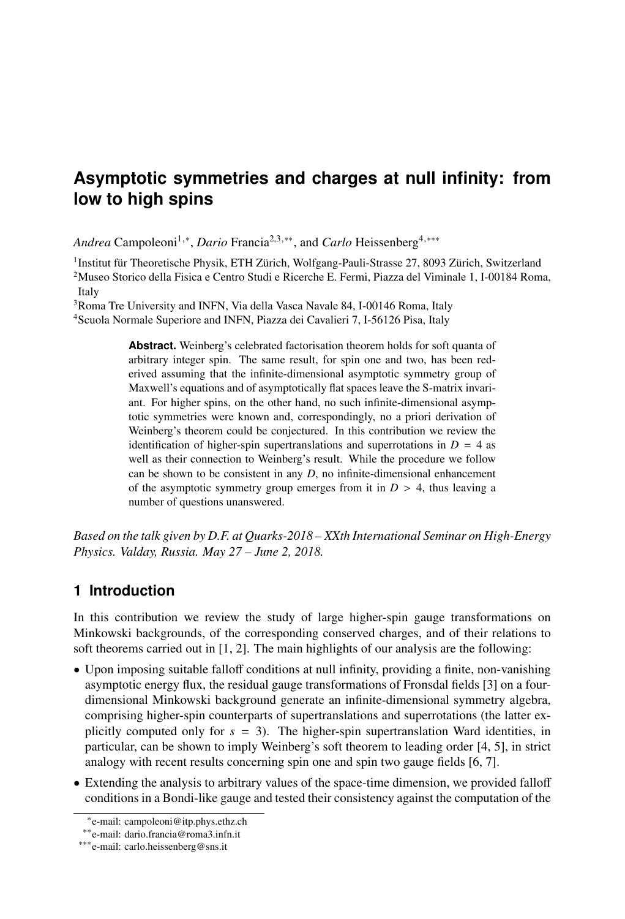# **Asymptotic symmetries and charges at null infinity: from low to high spins**

Andrea Campoleoni<sup>1,∗</sup>, *Dario* Francia<sup>2,3,∗∗</sup>, and *Carlo* Heissenberg<sup>4,∗</sup>\*\*

1 Institut für Theoretische Physik, ETH Zürich, Wolfgang-Pauli-Strasse 27, 8093 Zürich, Switzerland <sup>2</sup>Museo Storico della Fisica e Centro Studi e Ricerche E. Fermi, Piazza del Viminale 1, I-00184 Roma, Italy

<sup>3</sup>Roma Tre University and INFN, Via della Vasca Navale 84, I-00146 Roma, Italy <sup>4</sup>Scuola Normale Superiore and INFN, Piazza dei Cavalieri 7, I-56126 Pisa, Italy

> **Abstract.** Weinberg's celebrated factorisation theorem holds for soft quanta of arbitrary integer spin. The same result, for spin one and two, has been rederived assuming that the infinite-dimensional asymptotic symmetry group of Maxwell's equations and of asymptotically flat spaces leave the S-matrix invariant. For higher spins, on the other hand, no such infinite-dimensional asymptotic symmetries were known and, correspondingly, no a priori derivation of Weinberg's theorem could be conjectured. In this contribution we review the identification of higher-spin supertranslations and superrotations in  $D = 4$  as well as their connection to Weinberg's result. While the procedure we follow can be shown to be consistent in any *D*, no infinite-dimensional enhancement of the asymptotic symmetry group emerges from it in  $D > 4$ , thus leaving a number of questions unanswered.

*Based on the talk given by D.F. at Quarks-2018 – XXth International Seminar on High-Energy Physics. Valday, Russia. May 27 – June 2, 2018.*

# **1 Introduction**

In this contribution we review the study of large higher-spin gauge transformations on Minkowski backgrounds, of the corresponding conserved charges, and of their relations to soft theorems carried out in [\[1,](#page-8-0) [2\]](#page-8-1). The main highlights of our analysis are the following:

- Upon imposing suitable falloff conditions at null infinity, providing a finite, non-vanishing asymptotic energy flux, the residual gauge transformations of Fronsdal fields [\[3\]](#page-8-2) on a fourdimensional Minkowski background generate an infinite-dimensional symmetry algebra, comprising higher-spin counterparts of supertranslations and superrotations (the latter explicitly computed only for  $s = 3$ ). The higher-spin supertranslation Ward identities, in particular, can be shown to imply Weinberg's soft theorem to leading order [\[4,](#page-8-3) [5\]](#page-8-4), in strict analogy with recent results concerning spin one and spin two gauge fields [\[6,](#page-8-5) [7\]](#page-8-6).
- Extending the analysis to arbitrary values of the space-time dimension, we provided falloff conditions in a Bondi-like gauge and tested their consistency against the computation of the

<sup>∗</sup> e-mail: campoleoni@itp.phys.ethz.ch

<sup>∗∗</sup>e-mail: dario.francia@roma3.infn.it

<sup>∗∗∗</sup>e-mail: carlo.heissenberg@sns.it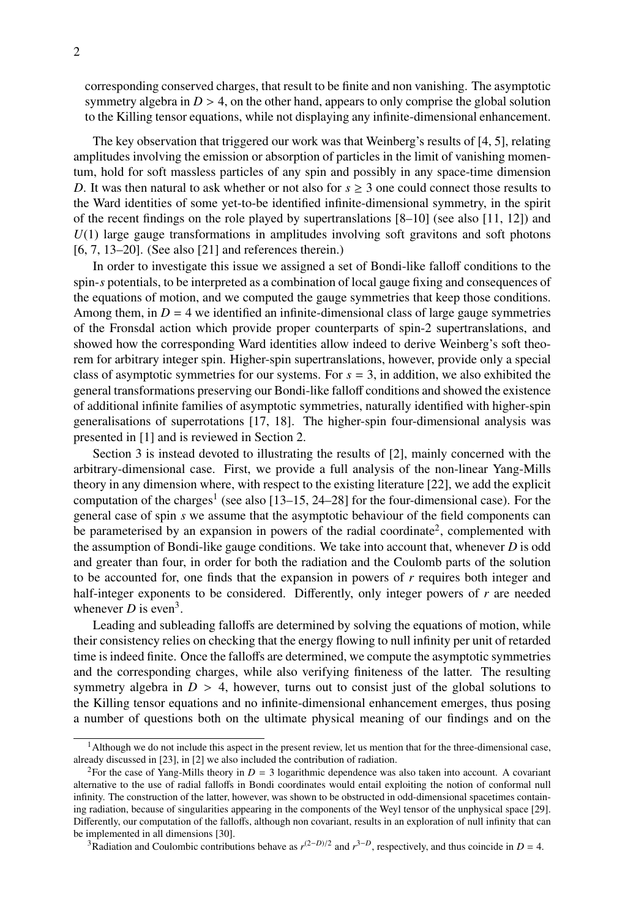corresponding conserved charges, that result to be finite and non vanishing. The asymptotic symmetry algebra in  $D > 4$ , on the other hand, appears to only comprise the global solution to the Killing tensor equations, while not displaying any infinite-dimensional enhancement.

The key observation that triggered our work was that Weinberg's results of [\[4,](#page-8-3) [5\]](#page-8-4), relating amplitudes involving the emission or absorption of particles in the limit of vanishing momentum, hold for soft massless particles of any spin and possibly in any space-time dimension *D*. It was then natural to ask whether or not also for  $s \geq 3$  one could connect those results to the Ward identities of some yet-to-be identified infinite-dimensional symmetry, in the spirit of the recent findings on the role played by supertranslations  $[8-10]$  $[8-10]$  (see also  $[11, 12]$  $[11, 12]$  $[11, 12]$ ) and *U*(1) large gauge transformations in amplitudes involving soft gravitons and soft photons [\[6,](#page-8-5) [7,](#page-8-6) [13–](#page-9-3)[20\]](#page-9-4). (See also [\[21\]](#page-9-5) and references therein.)

In order to investigate this issue we assigned a set of Bondi-like falloff conditions to the spin-*s* potentials, to be interpreted as a combination of local gauge fixing and consequences of the equations of motion, and we computed the gauge symmetries that keep those conditions. Among them, in  $D = 4$  we identified an infinite-dimensional class of large gauge symmetries of the Fronsdal action which provide proper counterparts of spin-2 supertranslations, and showed how the corresponding Ward identities allow indeed to derive Weinberg's soft theorem for arbitrary integer spin. Higher-spin supertranslations, however, provide only a special class of asymptotic symmetries for our systems. For  $s = 3$ , in addition, we also exhibited the general transformations preserving our Bondi-like falloff conditions and showed the existence of additional infinite families of asymptotic symmetries, naturally identified with higher-spin generalisations of superrotations [\[17,](#page-9-6) [18\]](#page-9-7). The higher-spin four-dimensional analysis was presented in [\[1\]](#page-8-0) and is reviewed in Section [2.](#page-2-0)

Section [3](#page-5-0) is instead devoted to illustrating the results of [\[2\]](#page-8-1), mainly concerned with the arbitrary-dimensional case. First, we provide a full analysis of the non-linear Yang-Mills theory in any dimension where, with respect to the existing literature [\[22\]](#page-9-8), we add the explicit computation of the charges<sup>[1](#page-1-0)</sup> (see also  $[13-15, 24-28]$  $[13-15, 24-28]$  $[13-15, 24-28]$  for the four-dimensional case). For the general case of spin *s* we assume that the asymptotic behaviour of the field components can be parameterised by an expansion in powers of the radial coordinate<sup>[2](#page-1-1)</sup>, complemented with the assumption of Bondi-like gauge conditions. We take into account that, whenever *D* is odd and greater than four, in order for both the radiation and the Coulomb parts of the solution to be accounted for, one finds that the expansion in powers of *r* requires both integer and half-integer exponents to be considered. Differently, only integer powers of *r* are needed whenever  $D$  is even<sup>[3](#page-1-2)</sup>.

Leading and subleading falloffs are determined by solving the equations of motion, while their consistency relies on checking that the energy flowing to null infinity per unit of retarded time is indeed finite. Once the falloffs are determined, we compute the asymptotic symmetries and the corresponding charges, while also verifying finiteness of the latter. The resulting symmetry algebra in  $D > 4$ , however, turns out to consist just of the global solutions to the Killing tensor equations and no infinite-dimensional enhancement emerges, thus posing a number of questions both on the ultimate physical meaning of our findings and on the

<span id="page-1-0"></span><sup>&</sup>lt;sup>1</sup>Although we do not include this aspect in the present review, let us mention that for the three-dimensional case, already discussed in [\[23\]](#page-9-12), in [\[2\]](#page-8-1) we also included the contribution of radiation.

<span id="page-1-1"></span><sup>&</sup>lt;sup>2</sup>For the case of Yang-Mills theory in  $D = 3$  logarithmic dependence was also taken into account. A covariant alternative to the use of radial falloffs in Bondi coordinates would entail exploiting the notion of conformal null infinity. The construction of the latter, however, was shown to be obstructed in odd-dimensional spacetimes containing radiation, because of singularities appearing in the components of the Weyl tensor of the unphysical space [\[29\]](#page-9-13). Differently, our computation of the falloffs, although non covariant, results in an exploration of null infinity that can be implemented in all dimensions [\[30\]](#page-9-14).

<span id="page-1-2"></span><sup>&</sup>lt;sup>3</sup>Radiation and Coulombic contributions behave as  $r^{(2-D)/2}$  and  $r^{3-D}$ , respectively, and thus coincide in  $D = 4$ .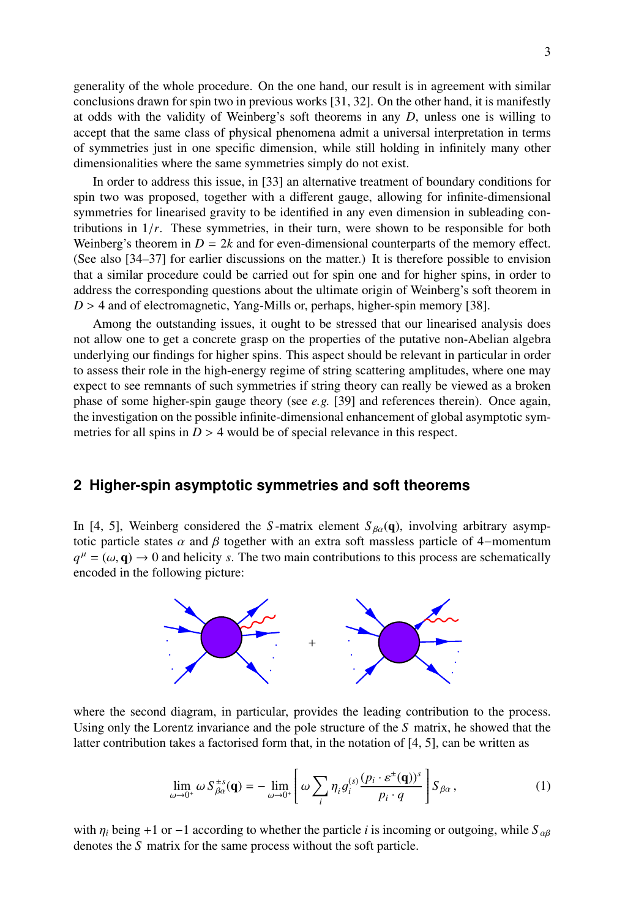generality of the whole procedure. On the one hand, our result is in agreement with similar conclusions drawn for spin two in previous works [\[31,](#page-10-0) [32\]](#page-10-1). On the other hand, it is manifestly at odds with the validity of Weinberg's soft theorems in any *D*, unless one is willing to accept that the same class of physical phenomena admit a universal interpretation in terms of symmetries just in one specific dimension, while still holding in infinitely many other dimensionalities where the same symmetries simply do not exist.

In order to address this issue, in [\[33\]](#page-10-2) an alternative treatment of boundary conditions for spin two was proposed, together with a different gauge, allowing for infinite-dimensional symmetries for linearised gravity to be identified in any even dimension in subleading contributions in  $1/r$ . These symmetries, in their turn, were shown to be responsible for both Weinberg's theorem in  $D = 2k$  and for even-dimensional counterparts of the memory effect. (See also [\[34–](#page-10-3)[37\]](#page-10-4) for earlier discussions on the matter.) It is therefore possible to envision that a similar procedure could be carried out for spin one and for higher spins, in order to address the corresponding questions about the ultimate origin of Weinberg's soft theorem in *D* > 4 and of electromagnetic, Yang-Mills or, perhaps, higher-spin memory [\[38\]](#page-10-5).

Among the outstanding issues, it ought to be stressed that our linearised analysis does not allow one to get a concrete grasp on the properties of the putative non-Abelian algebra underlying our findings for higher spins. This aspect should be relevant in particular in order to assess their role in the high-energy regime of string scattering amplitudes, where one may expect to see remnants of such symmetries if string theory can really be viewed as a broken phase of some higher-spin gauge theory (see *e.g.* [\[39\]](#page-10-6) and references therein). Once again, the investigation on the possible infinite-dimensional enhancement of global asymptotic symmetries for all spins in  $D > 4$  would be of special relevance in this respect.

## <span id="page-2-0"></span>**2 Higher-spin asymptotic symmetries and soft theorems**

In [\[4,](#page-8-3) [5\]](#page-8-4), Weinberg considered the *S*-matrix element  $S_{\beta\alpha}(\mathbf{q})$ , involving arbitrary asymptotic particle states  $\alpha$  and  $\beta$  together with an extra soft massless particle of 4–momentum  $q^{\mu} = (\omega, \mathbf{q}) \rightarrow 0$  and helicity *s*. The two main contributions to this process are schematically encoded in the following picture: encoded in the following picture:



where the second diagram, in particular, provides the leading contribution to the process. Using only the Lorentz invariance and the pole structure of the *S* matrix, he showed that the latter contribution takes a factorised form that, in the notation of [\[4,](#page-8-3) [5\]](#page-8-4), can be written as

<span id="page-2-1"></span>
$$
\lim_{\omega \to 0^+} \omega S_{\beta \alpha}^{\pm s}(\mathbf{q}) = -\lim_{\omega \to 0^+} \left[ \omega \sum_i \eta_i g_i^{(s)} \frac{(p_i \cdot \varepsilon^{\pm}(\mathbf{q}))^s}{p_i \cdot q} \right] S_{\beta \alpha}, \tag{1}
$$

with  $\eta_i$  being +1 or −1 according to whether the particle *i* is incoming or outgoing, while  $S_{\alpha\beta}$ denotes the *S* matrix for the same process without the soft particle.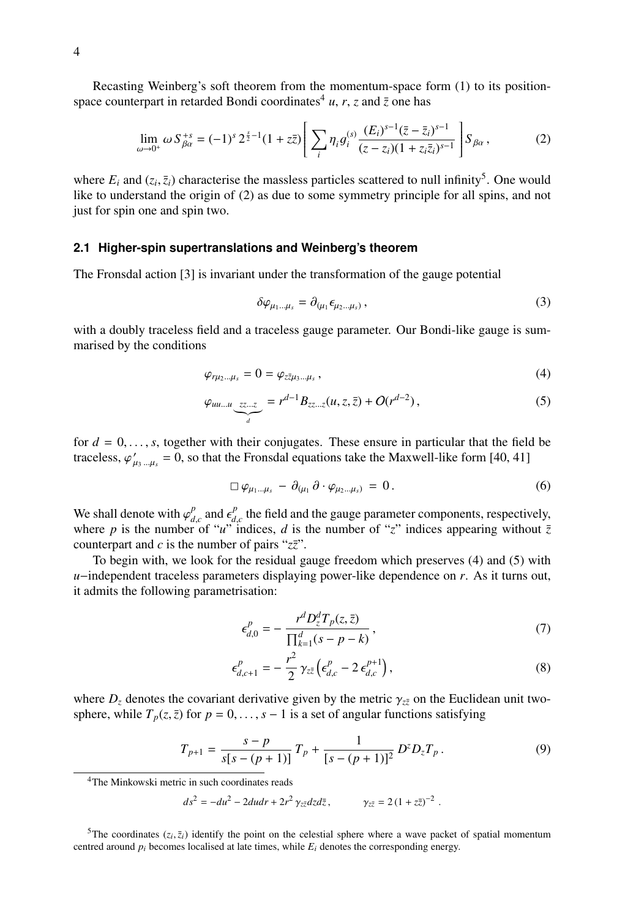4

Recasting Weinberg's soft theorem from the momentum-space form [\(1\)](#page-2-1) to its position-space counterpart in retarded Bondi coordinates<sup>[4](#page-3-0)</sup> *u*, *r*, *z* and  $\overline{z}$  one has

<span id="page-3-2"></span>
$$
\lim_{\omega \to 0^+} \omega S_{\beta \alpha}^{+s} = (-1)^s 2^{\frac{s}{2}-1} (1 + z\overline{z}) \left[ \sum_i \eta_i g_i^{(s)} \frac{(E_i)^{s-1} (\overline{z} - \overline{z}_i)^{s-1}}{(z - z_i)(1 + z_i \overline{z}_i)^{s-1}} \right] S_{\beta \alpha},\tag{2}
$$

where  $E_i$  and  $(z_i, \bar{z}_i)$  characterise the massless particles scattered to null infinity<sup>[5](#page-3-1)</sup>. One would like to understand the origin of [\(2\)](#page-3-2) as due to some symmetry principle for all spins, and not just for spin one and spin two.

#### **2.1 Higher-spin supertranslations and Weinberg's theorem**

The Fronsdal action [\[3\]](#page-8-2) is invariant under the transformation of the gauge potential

<span id="page-3-4"></span><span id="page-3-3"></span>
$$
\delta \varphi_{\mu_1 \dots \mu_s} = \partial_{(\mu_1} \epsilon_{\mu_2 \dots \mu_s)}, \tag{3}
$$

with a doubly traceless field and a traceless gauge parameter. Our Bondi-like gauge is summarised by the conditions

$$
\varphi_{r\mu_2\ldots\mu_s}=0=\varphi_{z\bar{z}\mu_3\ldots\mu_s}\,,\tag{4}
$$

$$
\varphi_{uu...u} \underbrace{zz...z}_{d} = r^{d-1} B_{zz...z}(u, z, \bar{z}) + O(r^{d-2}), \qquad (5)
$$

for  $d = 0, \ldots, s$ , together with their conjugates. These ensure in particular that the field be traceless,  $\varphi'_\mu$  $L_{\mu_3...\mu_s} = 0$ , so that the Fronsdal equations take the Maxwell-like form [\[40,](#page-10-7) [41\]](#page-10-8)

$$
\Box \varphi_{\mu_1...\mu_s} - \partial_{(\mu_1} \partial \cdot \varphi_{\mu_2...\mu_s)} = 0.
$$
 (6)

We shall denote with  $\varphi_{d,c}^p$  and  $\epsilon_{d,c}^p$  the field and the gauge parameter components, respectively, where *n* is the number of "*u*" indices *d* is the number of "z" indices annearing without  $\bar{z}$ where *p* is the number of "*u*" indices, *d* is the number of "*z*" indices appearing without  $\overline{z}$ counterpart and  $c$  is the number of pairs " $z\overline{z}$ ".

To begin with, we look for the residual gauge freedom which preserves [\(4\)](#page-3-3) and [\(5\)](#page-3-4) with *u*−independent traceless parameters displaying power-like dependence on *r*. As it turns out, it admits the following parametrisation:

$$
\epsilon_{d,0}^p = -\frac{r^d D_z^d T_p(z,\bar{z})}{\prod_{k=1}^d (s - p - k)},
$$
\n(7)

$$
\epsilon_{d,c+1}^p = -\frac{r^2}{2} \gamma_{z\bar{z}} \left( \epsilon_{d,c}^p - 2 \epsilon_{d,c}^{p+1} \right), \tag{8}
$$

where  $D_z$  denotes the covariant derivative given by the metric  $\gamma_{z\bar{z}}$  on the Euclidean unit twosphere, while  $T_p(z, \bar{z})$  for  $p = 0, \ldots, s - 1$  is a set of angular functions satisfying

$$
T_{p+1} = \frac{s-p}{s[s-(p+1)]} T_p + \frac{1}{[s-(p+1)]^2} D^z D_z T_p.
$$
 (9)

<span id="page-3-0"></span><sup>4</sup>The Minkowski metric in such coordinates reads

$$
ds^2 = -du^2 - 2dudr + 2r^2 \gamma_{z\bar{z}}dzd\bar{z}, \qquad \gamma_{z\bar{z}} = 2(1 + z\bar{z})^{-2}
$$

<span id="page-3-1"></span><sup>5</sup>The coordinates  $(z_i, \bar{z}_i)$  identify the point on the celestial sphere where a wave packet of spatial momentum tred around *n* becomes localised at late times, while *F*, denotes the corresponding energy centred around  $p_i$  becomes localised at late times, while  $E_i$  denotes the corresponding energy.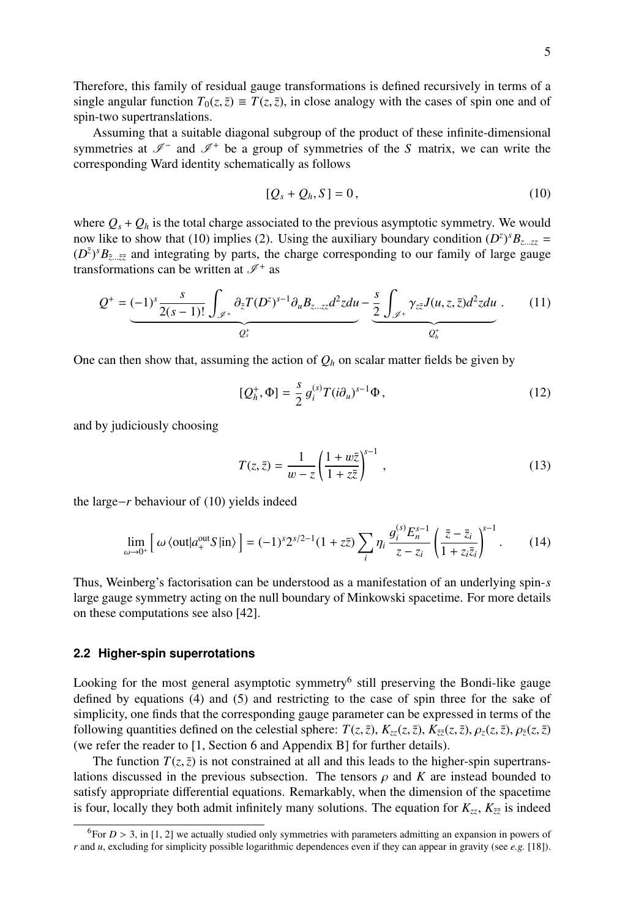Therefore, this family of residual gauge transformations is defined recursively in terms of a single angular function  $T_0(z, \bar{z}) \equiv T(z, \bar{z})$ , in close analogy with the cases of spin one and of spin-two supertranslations.

Assuming that a suitable diagonal subgroup of the product of these infinite-dimensional symmetries at  $\mathscr{I}^-$  and  $\mathscr{I}^+$  be a group of symmetries of the *S* matrix, we can write the corresponding Ward identity schematically as follows

<span id="page-4-0"></span>
$$
[Q_s + Q_h, S] = 0, \qquad (10)
$$

where  $Q_s + Q_h$  is the total charge associated to the previous asymptotic symmetry. We would now like to show that [\(10\)](#page-4-0) implies [\(2\)](#page-3-2). Using the auxiliary boundary condition  $(D^z)^s B_{z\ldots zz} = (D^z)^s B_{z\ldots zz}$  $(D^{\bar{z}})^s B_{\bar{z}\dots\bar{z}\bar{z}}$  and integrating by parts, the charge corresponding to our family of large gauge transformations can be written at  $\mathcal{I}^+$  as transformations can be written at  $\mathscr{I}^+$  as

<span id="page-4-3"></span>
$$
Q^+ = \underbrace{(-1)^s \frac{s}{2(s-1)!} \int_{\mathscr{I}^+} \partial_{\bar{z}} T(D^z)^{s-1} \partial_u B_{z \dots z z} d^2 z du}_{Q^+_s} - \underbrace{\frac{s}{2} \int_{\mathscr{I}^+} \gamma_{z \bar{z}} J(u, z, \bar{z}) d^2 z du}_{Q^+_h}.
$$
 (11)

One can then show that, assuming the action of  $Q_h$  on scalar matter fields be given by

$$
[Q_h^+, \Phi] = \frac{s}{2} g_i^{(s)} T (i \partial_u)^{s-1} \Phi , \qquad (12)
$$

and by judiciously choosing

$$
T(z,\bar{z}) = \frac{1}{w-z} \left(\frac{1+w\bar{z}}{1+z\bar{z}}\right)^{s-1},\tag{13}
$$

the large−*r* behaviour of [\(10\)](#page-4-0) yields indeed

$$
\lim_{\omega \to 0^+} \left[ \omega \left\langle \text{out} | a^{\text{out}}_{+} S | \text{in} \right\rangle \right] = (-1)^s 2^{s/2 - 1} (1 + z\bar{z}) \sum_i \eta_i \frac{g_i^{(s)} E_n^{s-1}}{z - z_i} \left( \frac{\bar{z} - \bar{z}_i}{1 + z_i \bar{z}_i} \right)^{s-1} . \tag{14}
$$

Thus, Weinberg's factorisation can be understood as a manifestation of an underlying spin-*s* large gauge symmetry acting on the null boundary of Minkowski spacetime. For more details on these computations see also [\[42\]](#page-10-9).

#### <span id="page-4-2"></span>**2.2 Higher-spin superrotations**

Looking for the most general asymptotic symmetry<sup>[6](#page-4-1)</sup> still preserving the Bondi-like gauge defined by equations [\(4\)](#page-3-3) and [\(5\)](#page-3-4) and restricting to the case of spin three for the sake of simplicity, one finds that the corresponding gauge parameter can be expressed in terms of the following quantities defined on the celestial sphere:  $T(z, \bar{z})$ ,  $K_{zz}(z, \bar{z})$ ,  $K_{\bar{z}\bar{z}}(z, \bar{z})$ ,  $\rho_z(z, \bar{z})$ ,  $\rho_{\bar{z}}(z, \bar{z})$ (we refer the reader to [\[1,](#page-8-0) Section 6 and Appendix B] for further details).

The function  $T(z, \bar{z})$  is not constrained at all and this leads to the higher-spin supertranslations discussed in the previous subsection. The tensors  $\rho$  and  $K$  are instead bounded to satisfy appropriate differential equations. Remarkably, when the dimension of the spacetime is four, locally they both admit infinitely many solutions. The equation for  $K_{zz}$ ,  $K_{\bar{z}\bar{z}}$  is indeed

<span id="page-4-1"></span><sup>&</sup>lt;sup>6</sup>For  $D > 3$ , in [\[1,](#page-8-0) [2\]](#page-8-1) we actually studied only symmetries with parameters admitting an expansion in powers of *r* and *u*, excluding for simplicity possible logarithmic dependences even if they can appear in gravity (see *e.g.* [\[18\]](#page-9-7)).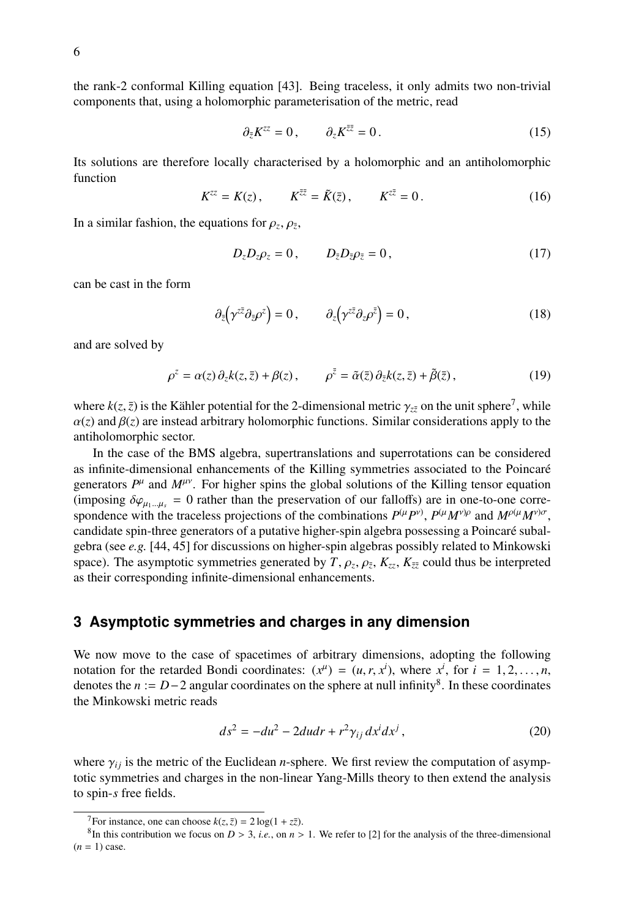the rank-2 conformal Killing equation [\[43\]](#page-10-10). Being traceless, it only admits two non-trivial components that, using a holomorphic parameterisation of the metric, read

$$
\partial_{\bar{z}} K^{zz} = 0, \qquad \partial_z K^{\bar{z}\bar{z}} = 0. \tag{15}
$$

Its solutions are therefore locally characterised by a holomorphic and an antiholomorphic function

$$
K^{zz} = K(z), \qquad K^{\bar{z}\bar{z}} = \tilde{K}(\bar{z}), \qquad K^{\bar{z}\bar{z}} = 0.
$$
 (16)

In a similar fashion, the equations for  $\rho_z$ ,  $\rho_{\bar{z}}$ ,

$$
D_{\bar{z}}D_{\bar{z}}\rho_{\bar{z}}=0, \qquad D_{\bar{z}}D_{\bar{z}}\rho_{\bar{z}}=0, \tag{17}
$$

can be cast in the form

$$
\partial_{\bar{z}}(\gamma^{z\bar{z}}\partial_{\bar{z}}\rho^{z})=0\,,\qquad\partial_{z}(\gamma^{z\bar{z}}\partial_{z}\rho^{\bar{z}})=0\,,\tag{18}
$$

and are solved by

$$
\rho^{z} = \alpha(z) \, \partial_{z} k(z, \bar{z}) + \beta(z) \,, \qquad \rho^{\bar{z}} = \tilde{\alpha}(\bar{z}) \, \partial_{\bar{z}} k(z, \bar{z}) + \tilde{\beta}(\bar{z}) \,, \tag{19}
$$

where  $k(z, \bar{z})$  is the Kähler potential for the 2-dimensional metric  $\gamma_{z\bar{z}}$  on the unit sphere<sup>[7](#page-5-1)</sup>, while  $\alpha(z)$  and  $\beta(z)$  are instead arbitrary holomorphic functions. Similar considerations apply to the  $\alpha(z)$  and  $\beta(z)$  are instead arbitrary holomorphic functions. Similar considerations apply to the antiholomorphic sector.

In the case of the BMS algebra, supertranslations and superrotations can be considered as infinite-dimensional enhancements of the Killing symmetries associated to the Poincaré generators  $P^{\mu}$  and  $M^{\mu\nu}$ . For higher spins the global solutions of the Killing tensor equation (imposing  $\delta\varphi_{\mu_1...\mu_s} = 0$  rather than the preservation of our falloffs) are in one-to-one correspondence with the traceless projections of the combinations  $P^{(\mu}P^{\nu)}$ ,  $P^{(\mu}M^{\nu)\rho}$  and  $M^{\rho(\mu}M^{\nu)\sigma}$ , candidate spin-three generators of a putative higher-spin algebra possessing a Poincaré subalgebra (see *e.g.* [\[44,](#page-10-11) [45\]](#page-10-12) for discussions on higher-spin algebras possibly related to Minkowski space). The asymptotic symmetries generated by  $T$ ,  $\rho_z$ ,  $\rho_{\bar{z}}$ ,  $K_{z\bar{z}}$ ,  $K_{\bar{z}\bar{z}}$  could thus be interpreted as their corresponding infinite-dimensional enhancements as their corresponding infinite-dimensional enhancements.

### <span id="page-5-0"></span>**3 Asymptotic symmetries and charges in any dimension**

We now move to the case of spacetimes of arbitrary dimensions, adopting the following notation for the retarded Bondi coordinates:  $(x^{\mu}) = (u, r, x^{i})$ , where  $x^{i}$ , for  $i = 1, 2, ..., n$ , denotes the  $n := D-2$  angular coordinates on the sphere at null infinity<sup>8</sup>. In these coordinates denotes the *n* :=  $D-2$  angular coordinates on the sphere at null infinity<sup>[8](#page-5-2)</sup>. In these coordinates the Minkowski metric reads

$$
ds^2 = -du^2 - 2dudr + r^2\gamma_{ij}dx^i dx^j,
$$
\n(20)

where  $\gamma_{ij}$  is the metric of the Euclidean *n*-sphere. We first review the computation of asymptotic symmetries and charges in the non-linear Yang-Mills theory to then extend the analysis to spin-*s* free fields.

<span id="page-5-2"></span><span id="page-5-1"></span><sup>&</sup>lt;sup>7</sup>For instance, one can choose  $k(z, \bar{z}) = 2 \log(1 + z\bar{z})$ .

<sup>&</sup>lt;sup>8</sup>In this contribution we focus on *D* > 3, *i.e.*, on *n* > 1. We refer to [\[2\]](#page-8-1) for the analysis of the three-dimensional  $-1$ ) case  $(n = 1)$  case.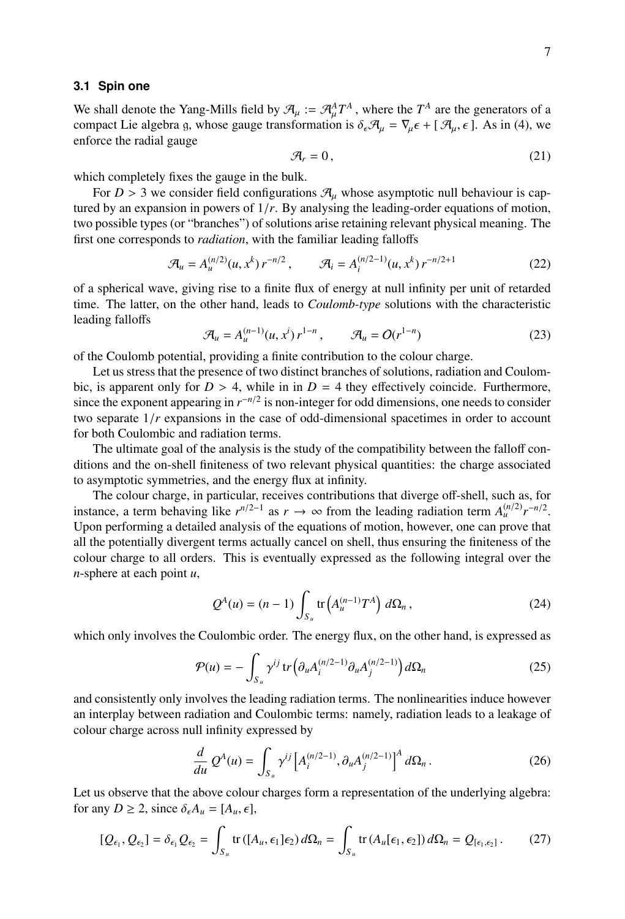#### **3.1 Spin one**

We shall denote the Yang-Mills field by  $\mathcal{A}_{\mu} := \mathcal{A}_{\mu}^A T^A$ , where the  $T^A$  are the generators of a<br>compact Lie algebra q whose gauge transformation is  $\delta \mathcal{A} - \nabla \epsilon + [\mathcal{A} - \epsilon]$ . As in (4) we compact Lie algebra g, whose gauge transformation is  $\delta_{\epsilon}A_{\mu} = \nabla_{\mu} \epsilon + [\mathcal{A}_{\mu}, \epsilon]$ . As in [\(4\)](#page-3-3), we enforce the radial gauge

<span id="page-6-1"></span>
$$
\mathcal{A}_r = 0, \tag{21}
$$

which completely fixes the gauge in the bulk.

For  $D > 3$  we consider field configurations  $\mathcal{A}_{\mu}$  whose asymptotic null behaviour is captured by an expansion in powers of 1/*r*. By analysing the leading-order equations of motion, two possible types (or "branches") of solutions arise retaining relevant physical meaning. The first one corresponds to *radiation*, with the familiar leading falloffs

$$
\mathcal{A}_u = A_u^{(n/2)}(u, x^k) r^{-n/2}, \qquad \mathcal{A}_i = A_i^{(n/2-1)}(u, x^k) r^{-n/2+1}
$$
 (22)

of a spherical wave, giving rise to a finite flux of energy at null infinity per unit of retarded time. The latter, on the other hand, leads to *Coulomb-type* solutions with the characteristic leading falloffs

$$
\mathcal{A}_u = A_u^{(n-1)}(u, x^i) r^{1-n}, \qquad \mathcal{A}_u = O(r^{1-n})
$$
\n(23)

of the Coulomb potential, providing a finite contribution to the colour charge.

Let us stress that the presence of two distinct branches of solutions, radiation and Coulombic, is apparent only for  $D > 4$ , while in in  $D = 4$  they effectively coincide. Furthermore, since the exponent appearing in  $r^{-n/2}$  is non-integer for odd dimensions, one needs to consider two separate 1/*<sup>r</sup>* expansions in the case of odd-dimensional spacetimes in order to account for both Coulombic and radiation terms.

The ultimate goal of the analysis is the study of the compatibility between the falloff conditions and the on-shell finiteness of two relevant physical quantities: the charge associated to asymptotic symmetries, and the energy flux at infinity.

The colour charge, in particular, receives contributions that diverge off-shell, such as, for instance, a term behaving like  $r^{n/2-1}$  as  $r \to \infty$  from the leading radiation term  $A_u^{(n/2)} r^{-n/2}$ . Upon performing a detailed analysis of the equations of motion, however, one can prove that all the potentially divergent terms actually cancel on shell, thus ensuring the finiteness of the colour charge to all orders. This is eventually expressed as the following integral over the *n*-sphere at each point *u*,

$$
Q^{A}(u) = (n-1) \int_{S_u} tr\left(A_u^{(n-1)}T^A\right) d\Omega_n, \qquad (24)
$$

which only involves the Coulombic order. The energy flux, on the other hand, is expressed as

$$
\mathcal{P}(u) = -\int_{S_u} \gamma^{ij} \operatorname{tr} \left( \partial_u A_i^{(n/2-1)} \partial_u A_j^{(n/2-1)} \right) d\Omega_n \tag{25}
$$

and consistently only involves the leading radiation terms. The nonlinearities induce however an interplay between radiation and Coulombic terms: namely, radiation leads to a leakage of colour charge across null infinity expressed by

$$
\frac{d}{du} Q^{A}(u) = \int_{S_u} \gamma^{ij} \left[ A_i^{(n/2-1)}, \partial_u A_j^{(n/2-1)} \right]^A d\Omega_n \,. \tag{26}
$$

Let us observe that the above colour charges form a representation of the underlying algebra: for any  $D \ge 2$ , since  $\delta_{\epsilon} A_u = [A_u, \epsilon]$ ,

<span id="page-6-0"></span>
$$
[Q_{\epsilon_1}, Q_{\epsilon_2}] = \delta_{\epsilon_1} Q_{\epsilon_2} = \int_{S_u} tr\left( [A_u, \epsilon_1] \epsilon_2 \right) d\Omega_n = \int_{S_u} tr\left( A_u[\epsilon_1, \epsilon_2] \right) d\Omega_n = Q_{[\epsilon_1, \epsilon_2]} \,. \tag{27}
$$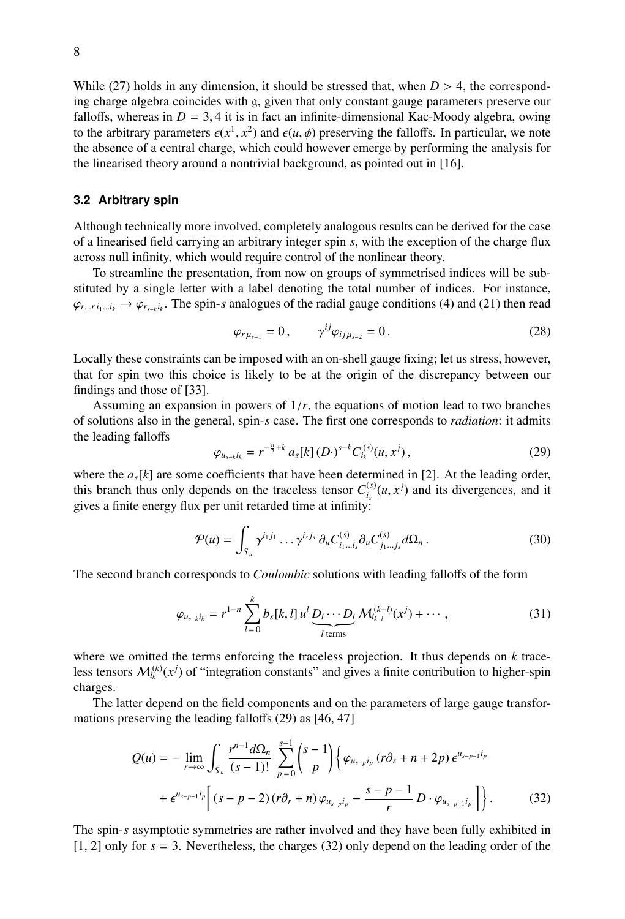While [\(27\)](#page-6-0) holds in any dimension, it should be stressed that, when *D* > 4, the corresponding charge algebra coincides with g, given that only constant gauge parameters preserve our falloffs, whereas in  $D = 3$ , 4 it is in fact an infinite-dimensional Kac-Moody algebra, owing to the arbitrary parameters  $\epsilon(x^1, x^2)$  and  $\epsilon(u, \phi)$  preserving the falloffs. In particular, we note<br>the absence of a central charge, which could however emerge by performing the analysis for the absence of a central charge, which could however emerge by performing the analysis for the linearised theory around a nontrivial background, as pointed out in [\[16\]](#page-9-15).

#### **3.2 Arbitrary spin**

Although technically more involved, completely analogous results can be derived for the case of a linearised field carrying an arbitrary integer spin *s*, with the exception of the charge flux across null infinity, which would require control of the nonlinear theory.

To streamline the presentation, from now on groups of symmetrised indices will be substituted by a single letter with a label denoting the total number of indices. For instance,  $\varphi_{r...r i_1...i_k} \to \varphi_{r_{s-k}i_k}$ . The spin-*s* analogues of the radial gauge conditions [\(4\)](#page-3-3) and [\(21\)](#page-6-1) then read

$$
\varphi_{r\mu_{s-1}} = 0, \qquad \gamma^{ij}\varphi_{ij\mu_{s-2}} = 0.
$$
 (28)

Locally these constraints can be imposed with an on-shell gauge fixing; let us stress, however, that for spin two this choice is likely to be at the origin of the discrepancy between our findings and those of [\[33\]](#page-10-2).

Assuming an expansion in powers of 1/*r*, the equations of motion lead to two branches of solutions also in the general, spin-*s* case. The first one corresponds to *radiation*: it admits the leading falloffs

<span id="page-7-0"></span>
$$
\varphi_{u_{s-k}i_k} = r^{-\frac{n}{2}+k} a_s[k] (D \cdot)^{s-k} C_{i_k}^{(s)}(u, x^j) , \qquad (29)
$$

where the  $a<sub>s</sub>[k]$  are some coefficients that have been determined in [\[2\]](#page-8-1). At the leading order, this branch thus only depends on the traceless tensor  $C_i^{(s)}$  $\int_{i_s}^{(s)} (u, x^j)$  and its divergences, and it gives a finite energy flux per unit retarded time at infinity:

$$
\mathcal{P}(u) = \int_{S_u} \gamma^{i_1 j_1} \dots \gamma^{i_s j_s} \, \partial_u C_{i_1 \dots i_s}^{(s)} \partial_u C_{j_1 \dots j_s}^{(s)} d\Omega_n \,. \tag{30}
$$

The second branch corresponds to *Coulombic* solutions with leading falloffs of the form

<span id="page-7-2"></span>
$$
\varphi_{u_{s-k}i_k} = r^{1-n} \sum_{l=0}^k b_s[k, l] \, u^l \underbrace{D_i \cdots D_l}_{l \text{ terms}} \mathcal{M}_{i_{k-l}}^{(k-l)}(x^j) + \cdots, \tag{31}
$$

where we omitted the terms enforcing the traceless projection. It thus depends on *k* traceless tensors  $\mathcal{M}_{i_k}^{(k)}(x^j)$  of "integration constants" and gives a finite contribution to higher-spin charges.

The latter depend on the field components and on the parameters of large gauge transformations preserving the leading falloffs [\(29\)](#page-7-0) as [\[46,](#page-10-13) [47\]](#page-10-14)

$$
Q(u) = -\lim_{r \to \infty} \int_{S_u} \frac{r^{n-1} d\Omega_n}{(s-1)!} \sum_{p=0}^{s-1} {s-1 \choose p} \left\{ \varphi_{u_{s-p}i_p} (r \partial_r + n + 2p) \epsilon^{u_{s-p-1}i_p} + \epsilon^{u_{s-p-1}i_p} \left[ (s-p-2) (r \partial_r + n) \varphi_{u_{s-p}i_p} - \frac{s-p-1}{r} D \cdot \varphi_{u_{s-p-1}i_p} \right] \right\}.
$$
 (32)

<span id="page-7-1"></span>The spin-*s* asymptotic symmetries are rather involved and they have been fully exhibited in [\[1,](#page-8-0) [2\]](#page-8-1) only for *s* = 3. Nevertheless, the charges [\(32\)](#page-7-1) only depend on the leading order of the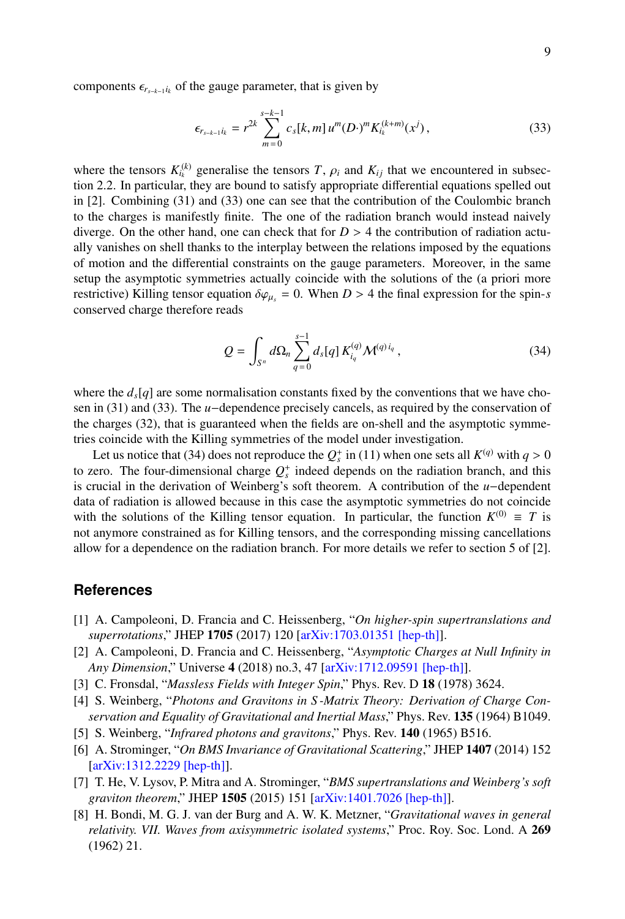components  $\epsilon_{r_{s-k-1}i_k}$  of the gauge parameter, that is given by

<span id="page-8-8"></span>
$$
\epsilon_{r_{s-k-1}i_k} = r^{2k} \sum_{m=0}^{s-k-1} c_s[k,m] u^m(D \cdot)^m K_{i_k}^{(k+m)}(x^j), \qquad (33)
$$

where the tensors  $K_k^{(k)}$  generalise the tensors  $T$ ,  $\rho_i$  and  $K_{ij}$  that we encountered in subsection 2.2. In particular, they are bound to satisfy appropriate differential equations spelled out tion [2.2.](#page-4-2) In particular, they are bound to satisfy appropriate differential equations spelled out in [\[2\]](#page-8-1). Combining [\(31\)](#page-7-2) and [\(33\)](#page-8-8) one can see that the contribution of the Coulombic branch to the charges is manifestly finite. The one of the radiation branch would instead naively diverge. On the other hand, one can check that for  $D > 4$  the contribution of radiation actually vanishes on shell thanks to the interplay between the relations imposed by the equations of motion and the differential constraints on the gauge parameters. Moreover, in the same setup the asymptotic symmetries actually coincide with the solutions of the (a priori more restrictive) Killing tensor equation  $\delta \varphi_{\mu_s} = 0$ . When  $D > 4$  the final expression for the spin-*s* conserved charge therefore reads

<span id="page-8-9"></span>
$$
Q = \int_{S^n} d\Omega_n \sum_{q=0}^{s-1} d_s[q] K_{i_q}^{(q)} \mathcal{M}^{(q)i_q}, \qquad (34)
$$

where the  $d_s[q]$  are some normalisation constants fixed by the conventions that we have chosen in [\(31\)](#page-7-2) and [\(33\)](#page-8-8). The *u*−dependence precisely cancels, as required by the conservation of the charges [\(32\)](#page-7-1), that is guaranteed when the fields are on-shell and the asymptotic symmetries coincide with the Killing symmetries of the model under investigation.

Let us notice that [\(34\)](#page-8-9) does not reproduce the  $Q_s^*$  in [\(11\)](#page-4-3) when one sets all  $K^{(q)}$  with  $q > 0$ <br>ero. The four-dimensional charge  $Q^*$  indeed depends on the radiation branch, and this to zero. The four-dimensional charge  $Q_s^+$  indeed depends on the radiation branch, and this is crucial in the derivation of Weinberg's soft theorem. A contribution of the *u*−dependent data of radiation is allowed because in this case the asymptotic symmetries do not coincide with the solutions of the Killing tensor equation. In particular, the function  $K^{(0)} \equiv T$  is not anymore constrained as for Killing tensors, and the corresponding missing cancellations allow for a dependence on the radiation branch. For more details we refer to section 5 of [\[2\]](#page-8-1).

## **References**

- <span id="page-8-0"></span>[1] A. Campoleoni, D. Francia and C. Heissenberg, "*On higher-spin supertranslations and superrotations*," JHEP 1705 (2017) 120 [\[arXiv:1703.01351 \[hep-th\]\]](https://arxiv.org/abs/1703.01351).
- <span id="page-8-1"></span>[2] A. Campoleoni, D. Francia and C. Heissenberg, "*Asymptotic Charges at Null Infinity in Any Dimension*," Universe 4 (2018) no.3, 47 [\[arXiv:1712.09591 \[hep-th\]\]](https://arxiv.org/abs/1712.09591).
- <span id="page-8-2"></span>[3] C. Fronsdal, "*Massless Fields with Integer Spin*," Phys. Rev. D 18 (1978) 3624.
- <span id="page-8-3"></span>[4] S. Weinberg, "*Photons and Gravitons in S -Matrix Theory: Derivation of Charge Conservation and Equality of Gravitational and Inertial Mass*," Phys. Rev. 135 (1964) B1049.
- <span id="page-8-4"></span>[5] S. Weinberg, "*Infrared photons and gravitons*," Phys. Rev. 140 (1965) B516.
- <span id="page-8-5"></span>[6] A. Strominger, "*On BMS Invariance of Gravitational Scattering*," JHEP 1407 (2014) 152 [\[arXiv:1312.2229 \[hep-th\]\]](http://arxiv.org/abs/arXiv:1312.2229).
- <span id="page-8-6"></span>[7] T. He, V. Lysov, P. Mitra and A. Strominger, "*BMS supertranslations and Weinberg's soft graviton theorem*," JHEP 1505 (2015) 151 [\[arXiv:1401.7026 \[hep-th\]\]](http://arxiv.org/abs/arXiv:1401.7026).
- <span id="page-8-7"></span>[8] H. Bondi, M. G. J. van der Burg and A. W. K. Metzner, "*Gravitational waves in general relativity. VII. Waves from axisymmetric isolated systems*," Proc. Roy. Soc. Lond. A 269 (1962) 21.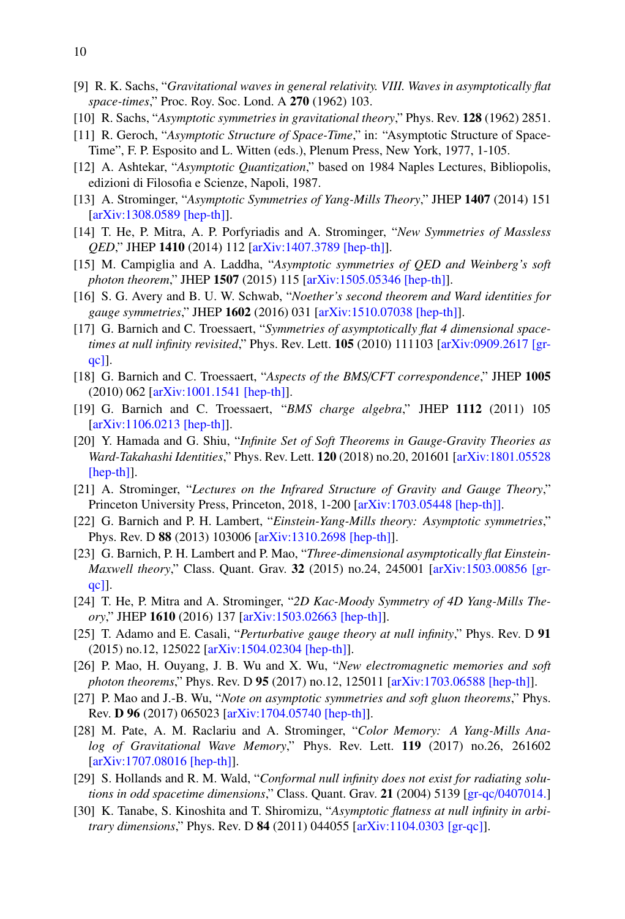- [9] R. K. Sachs, "*Gravitational waves in general relativity. VIII. Waves in asymptotically flat space-times*," Proc. Roy. Soc. Lond. A 270 (1962) 103.
- <span id="page-9-0"></span>[10] R. Sachs, "*Asymptotic symmetries in gravitational theory*," Phys. Rev. 128 (1962) 2851.
- <span id="page-9-1"></span>[11] R. Geroch, "*Asymptotic Structure of Space-Time*," in: "Asymptotic Structure of Space-Time", F. P. Esposito and L. Witten (eds.), Plenum Press, New York, 1977, 1-105.
- <span id="page-9-2"></span>[12] A. Ashtekar, "*Asymptotic Quantization*," based on 1984 Naples Lectures, Bibliopolis, edizioni di Filosofia e Scienze, Napoli, 1987.
- <span id="page-9-3"></span>[13] A. Strominger, "*Asymptotic Symmetries of Yang-Mills Theory*," JHEP 1407 (2014) 151 [\[arXiv:1308.0589 \[hep-th\]\]](http://arxiv.org/abs/arXiv:1308.0589).
- [14] T. He, P. Mitra, A. P. Porfyriadis and A. Strominger, "*New Symmetries of Massless QED*," JHEP 1410 (2014) 112 [\[arXiv:1407.3789 \[hep-th\]\]](http://arxiv.org/abs/arXiv:1407.3789).
- <span id="page-9-9"></span>[15] M. Campiglia and A. Laddha, "*Asymptotic symmetries of QED and Weinberg's soft photon theorem*," JHEP 1507 (2015) 115 [\[arXiv:1505.05346 \[hep-th\]\]](http://arxiv.org/abs/arXiv:1505.05346).
- <span id="page-9-15"></span>[16] S. G. Avery and B. U. W. Schwab, "*Noether's second theorem and Ward identities for gauge symmetries*," JHEP 1602 (2016) 031 [\[arXiv:1510.07038 \[hep-th\]\]](http://arxiv.org/abs/arXiv:1510.07038).
- <span id="page-9-6"></span>[17] G. Barnich and C. Troessaert, "*Symmetries of asymptotically flat 4 dimensional spacetimes at null infinity revisited*," Phys. Rev. Lett. **105** (2010) 111103 [\[arXiv:0909.2617 \[gr](http://arxiv.org/abs/arXiv:0909.2617)[qc\]\]](http://arxiv.org/abs/arXiv:0909.2617).
- <span id="page-9-7"></span>[18] G. Barnich and C. Troessaert, "*Aspects of the BMS*/*CFT correspondence*," JHEP 1005 (2010) 062 [\[arXiv:1001.1541 \[hep-th\]\]](http://arxiv.org/abs/arXiv:1001.1541).
- [19] G. Barnich and C. Troessaert, "*BMS charge algebra*," JHEP 1112 (2011) 105 [\[arXiv:1106.0213 \[hep-th\]\]](http://arxiv.org/abs/arXiv:1106.0213).
- <span id="page-9-4"></span>[20] Y. Hamada and G. Shiu, "*Infinite Set of Soft Theorems in Gauge-Gravity Theories as Ward-Takahashi Identities*," Phys. Rev. Lett. 120 (2018) no.20, 201601 [\[arXiv:1801.05528](https://arxiv.org/abs/1801.05528) [\[hep-th\]\]](https://arxiv.org/abs/1801.05528).
- <span id="page-9-5"></span>[21] A. Strominger, "*Lectures on the Infrared Structure of Gravity and Gauge Theory*," Princeton University Press, Princeton, 2018, 1-200 [\[arXiv:1703.05448 \[hep-th\]\].](https://arxiv.org/abs/1703.05448)
- <span id="page-9-8"></span>[22] G. Barnich and P. H. Lambert, "*Einstein-Yang-Mills theory: Asymptotic symmetries*," Phys. Rev. D 88 (2013) 103006 [\[arXiv:1310.2698 \[hep-th\]\]](https://arxiv.org/pdf/1310.2698.pdf).
- <span id="page-9-12"></span>[23] G. Barnich, P. H. Lambert and P. Mao, "*Three-dimensional asymptotically flat Einstein-Maxwell theory*," Class. Quant. Grav. 32 (2015) no.24, 245001 [\[arXiv:1503.00856 \[gr](https://arxiv.org/pdf/1503.00856.pdf)[qc\]\]](https://arxiv.org/pdf/1503.00856.pdf).
- <span id="page-9-10"></span>[24] T. He, P. Mitra and A. Strominger, "*2D Kac-Moody Symmetry of 4D Yang-Mills Theory*," JHEP 1610 (2016) 137 [\[arXiv:1503.02663 \[hep-th\]\]](https://arxiv.org/pdf/1503.02663.pdf).
- [25] T. Adamo and E. Casali, "*Perturbative gauge theory at null infinity*," Phys. Rev. D 91 (2015) no.12, 125022 [\[arXiv:1504.02304 \[hep-th\]\]](https://arxiv.org/pdf/1504.02304.pdf).
- [26] P. Mao, H. Ouyang, J. B. Wu and X. Wu, "*New electromagnetic memories and soft photon theorems*," Phys. Rev. D 95 (2017) no.12, 125011 [\[arXiv:1703.06588 \[hep-th\]\]](https://arxiv.org/abs/1703.06588).
- [27] P. Mao and J.-B. Wu, "*Note on asymptotic symmetries and soft gluon theorems*," Phys. Rev. D 96 (2017) 065023 [\[arXiv:1704.05740 \[hep-th\]\]](https://arxiv.org/abs/1704.05740).
- <span id="page-9-11"></span>[28] M. Pate, A. M. Raclariu and A. Strominger, "*Color Memory: A Yang-Mills Analog of Gravitational Wave Memory*," Phys. Rev. Lett. 119 (2017) no.26, 261602 [\[arXiv:1707.08016 \[hep-th\]\]](https://arxiv.org/pdf/1707.08016.pdf).
- <span id="page-9-13"></span>[29] S. Hollands and R. M. Wald, "*Conformal null infinity does not exist for radiating solutions in odd spacetime dimensions*," Class. Quant. Grav. 21 (2004) 5139 [gr-qc/[0407014.\]](https://arxiv.org/abs/gr-qc/0407014)
- <span id="page-9-14"></span>[30] K. Tanabe, S. Kinoshita and T. Shiromizu, "*Asymptotic flatness at null infinity in arbitrary dimensions*," Phys. Rev. D 84 (2011) 044055 [\[arXiv:1104.0303 \[gr-qc\]\]](https://arxiv.org/abs/1104.0303).